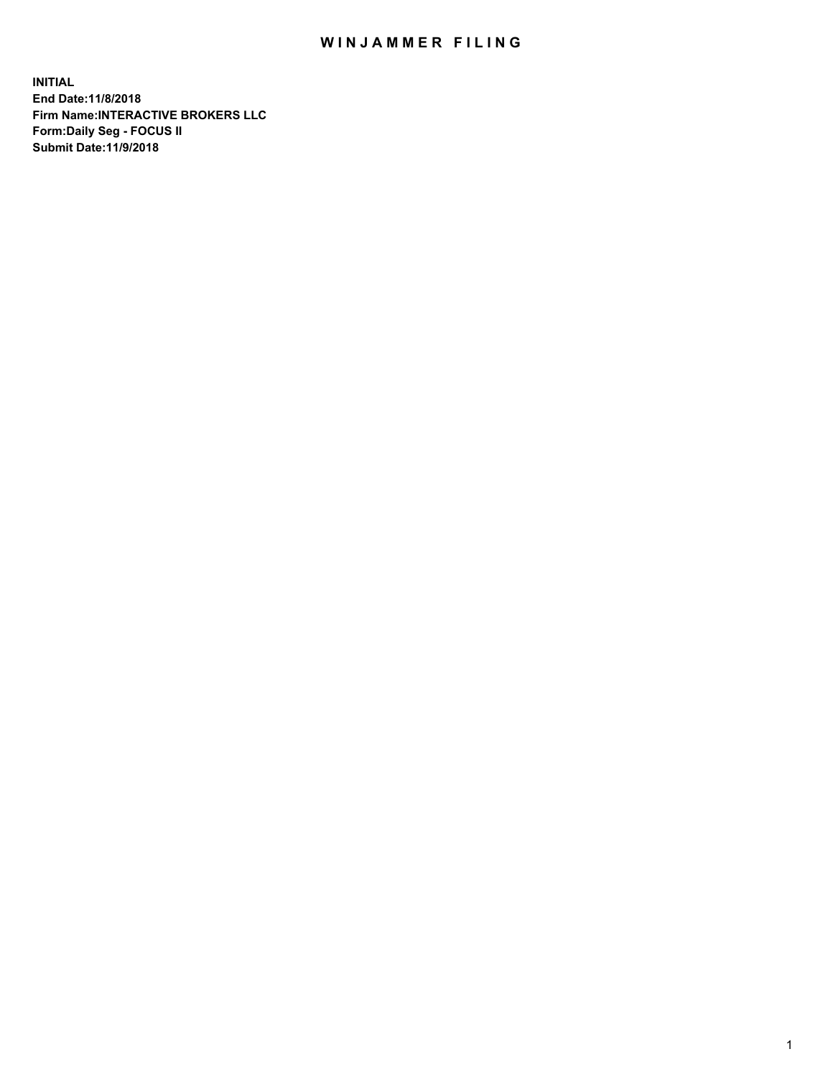## WIN JAMMER FILING

**INITIAL End Date:11/8/2018 Firm Name:INTERACTIVE BROKERS LLC Form:Daily Seg - FOCUS II Submit Date:11/9/2018**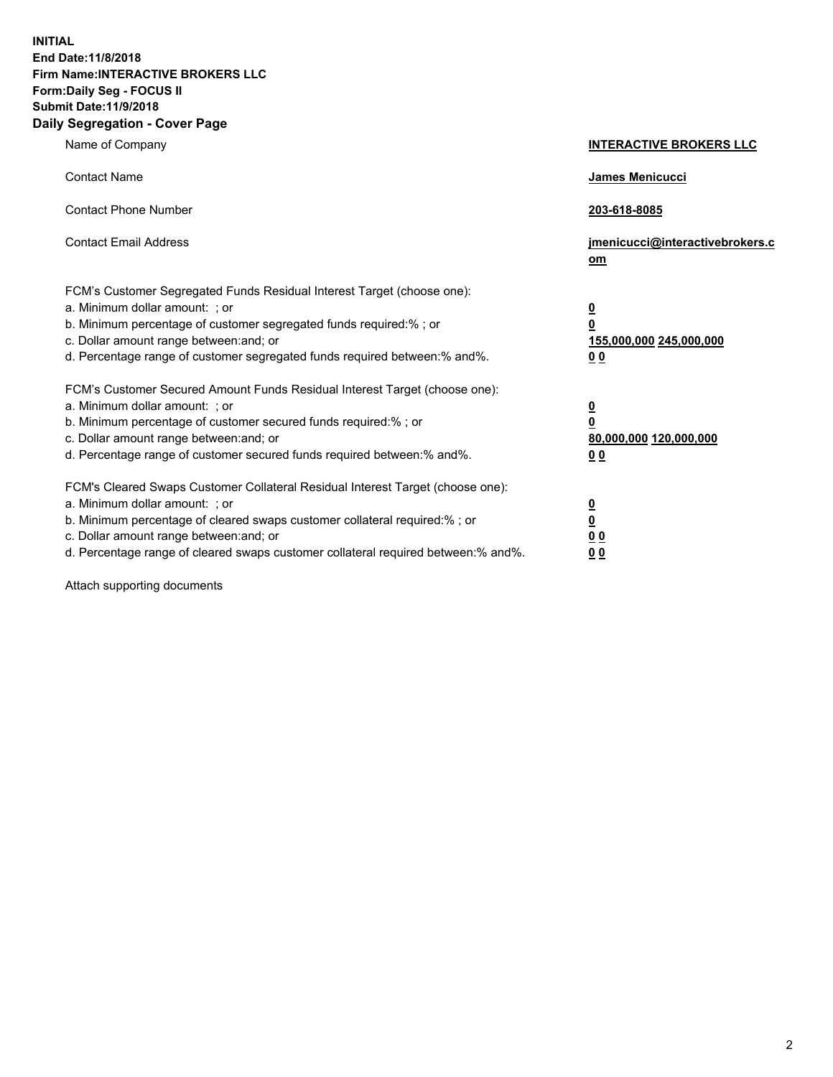**INITIAL End Date:11/8/2018 Firm Name:INTERACTIVE BROKERS LLC Form:Daily Seg - FOCUS II Submit Date:11/9/2018 Daily Segregation - Cover Page**

| Name of Company                                                                                                                                                                                                                                                                                                                | <b>INTERACTIVE BROKERS LLC</b>                                                                  |
|--------------------------------------------------------------------------------------------------------------------------------------------------------------------------------------------------------------------------------------------------------------------------------------------------------------------------------|-------------------------------------------------------------------------------------------------|
| <b>Contact Name</b>                                                                                                                                                                                                                                                                                                            | James Menicucci                                                                                 |
| <b>Contact Phone Number</b>                                                                                                                                                                                                                                                                                                    | 203-618-8085                                                                                    |
| <b>Contact Email Address</b>                                                                                                                                                                                                                                                                                                   | jmenicucci@interactivebrokers.c<br>om                                                           |
| FCM's Customer Segregated Funds Residual Interest Target (choose one):<br>a. Minimum dollar amount: ; or<br>b. Minimum percentage of customer segregated funds required:% ; or<br>c. Dollar amount range between: and; or<br>d. Percentage range of customer segregated funds required between:% and%.                         | $\overline{\mathbf{0}}$<br>$\overline{\mathbf{0}}$<br>155,000,000 245,000,000<br>0 <sub>0</sub> |
| FCM's Customer Secured Amount Funds Residual Interest Target (choose one):<br>a. Minimum dollar amount: ; or<br>b. Minimum percentage of customer secured funds required:% ; or<br>c. Dollar amount range between: and; or<br>d. Percentage range of customer secured funds required between:% and%.                           | $\overline{\mathbf{0}}$<br>0<br>80,000,000 120,000,000<br>0 <sub>0</sub>                        |
| FCM's Cleared Swaps Customer Collateral Residual Interest Target (choose one):<br>a. Minimum dollar amount: ; or<br>b. Minimum percentage of cleared swaps customer collateral required:% ; or<br>c. Dollar amount range between: and; or<br>d. Percentage range of cleared swaps customer collateral required between:% and%. | $\overline{\mathbf{0}}$<br><u>0</u><br>$\underline{0}$ $\underline{0}$<br>00                    |

Attach supporting documents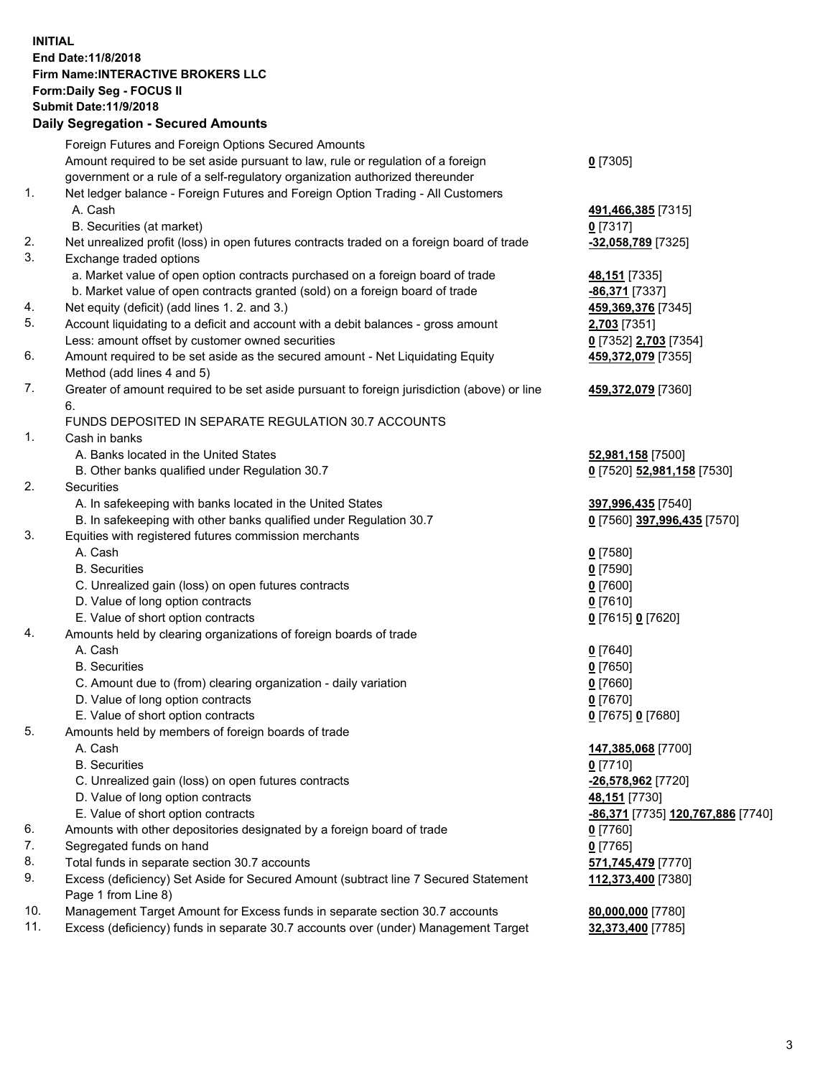## **INITIAL End Date:11/8/2018 Firm Name:INTERACTIVE BROKERS LLC Form:Daily Seg - FOCUS II Submit Date:11/9/2018 Daily Segregation - Secured Amounts**

|     | Daily Segregation - Secured Amounts                                                               |                                   |
|-----|---------------------------------------------------------------------------------------------------|-----------------------------------|
|     | Foreign Futures and Foreign Options Secured Amounts                                               |                                   |
|     | Amount required to be set aside pursuant to law, rule or regulation of a foreign                  | $Q$ [7305]                        |
|     | government or a rule of a self-regulatory organization authorized thereunder                      |                                   |
| 1.  | Net ledger balance - Foreign Futures and Foreign Option Trading - All Customers                   |                                   |
|     | A. Cash                                                                                           | 491,466,385 [7315]                |
|     | B. Securities (at market)                                                                         | $0$ [7317]                        |
| 2.  | Net unrealized profit (loss) in open futures contracts traded on a foreign board of trade         | -32,058,789 [7325]                |
| 3.  | Exchange traded options                                                                           |                                   |
|     | a. Market value of open option contracts purchased on a foreign board of trade                    | 48,151 [7335]                     |
|     | b. Market value of open contracts granted (sold) on a foreign board of trade                      | -86,371 [7337]                    |
| 4.  | Net equity (deficit) (add lines 1. 2. and 3.)                                                     | 459,369,376 [7345]                |
| 5.  | Account liquidating to a deficit and account with a debit balances - gross amount                 | 2,703 [7351]                      |
|     | Less: amount offset by customer owned securities                                                  | 0 [7352] 2,703 [7354]             |
| 6.  | Amount required to be set aside as the secured amount - Net Liquidating Equity                    | 459,372,079 [7355]                |
|     | Method (add lines 4 and 5)                                                                        |                                   |
| 7.  | Greater of amount required to be set aside pursuant to foreign jurisdiction (above) or line<br>6. | 459,372,079 [7360]                |
|     | FUNDS DEPOSITED IN SEPARATE REGULATION 30.7 ACCOUNTS                                              |                                   |
| 1.  | Cash in banks                                                                                     |                                   |
|     | A. Banks located in the United States                                                             | 52,981,158 [7500]                 |
|     | B. Other banks qualified under Regulation 30.7                                                    | 0 [7520] 52,981,158 [7530]        |
| 2.  | Securities                                                                                        |                                   |
|     | A. In safekeeping with banks located in the United States                                         | 397,996,435 [7540]                |
|     | B. In safekeeping with other banks qualified under Regulation 30.7                                | 0 [7560] 397,996,435 [7570]       |
| 3.  | Equities with registered futures commission merchants                                             |                                   |
|     | A. Cash                                                                                           | $0$ [7580]                        |
|     | <b>B.</b> Securities                                                                              | $0$ [7590]                        |
|     | C. Unrealized gain (loss) on open futures contracts                                               | $0$ [7600]                        |
|     | D. Value of long option contracts                                                                 | $0$ [7610]                        |
|     | E. Value of short option contracts                                                                | 0 [7615] 0 [7620]                 |
| 4.  | Amounts held by clearing organizations of foreign boards of trade                                 |                                   |
|     | A. Cash                                                                                           | $0$ [7640]                        |
|     | <b>B.</b> Securities                                                                              | $0$ [7650]                        |
|     | C. Amount due to (from) clearing organization - daily variation                                   | $0$ [7660]                        |
|     | D. Value of long option contracts                                                                 | $0$ [7670]                        |
|     | E. Value of short option contracts                                                                | 0 [7675] 0 [7680]                 |
| 5.  | Amounts held by members of foreign boards of trade                                                |                                   |
|     | A. Cash                                                                                           | 147,385,068 [7700]                |
|     | <b>B.</b> Securities                                                                              | $0$ [7710]                        |
|     | C. Unrealized gain (loss) on open futures contracts                                               | -26,578,962 [7720]                |
|     | D. Value of long option contracts                                                                 | 48,151 [7730]                     |
|     | E. Value of short option contracts                                                                | -86,371 [7735] 120,767,886 [7740] |
| 6.  | Amounts with other depositories designated by a foreign board of trade                            | 0 [7760]                          |
| 7.  | Segregated funds on hand                                                                          | $0$ [7765]                        |
| 8.  | Total funds in separate section 30.7 accounts                                                     | 571,745,479 [7770]                |
| 9.  | Excess (deficiency) Set Aside for Secured Amount (subtract line 7 Secured Statement               | 112,373,400 [7380]                |
|     | Page 1 from Line 8)                                                                               |                                   |
| 10. | Management Target Amount for Excess funds in separate section 30.7 accounts                       | 80,000,000 [7780]                 |
| 11. | Excess (deficiency) funds in separate 30.7 accounts over (under) Management Target                | 32,373,400 [7785]                 |
|     |                                                                                                   |                                   |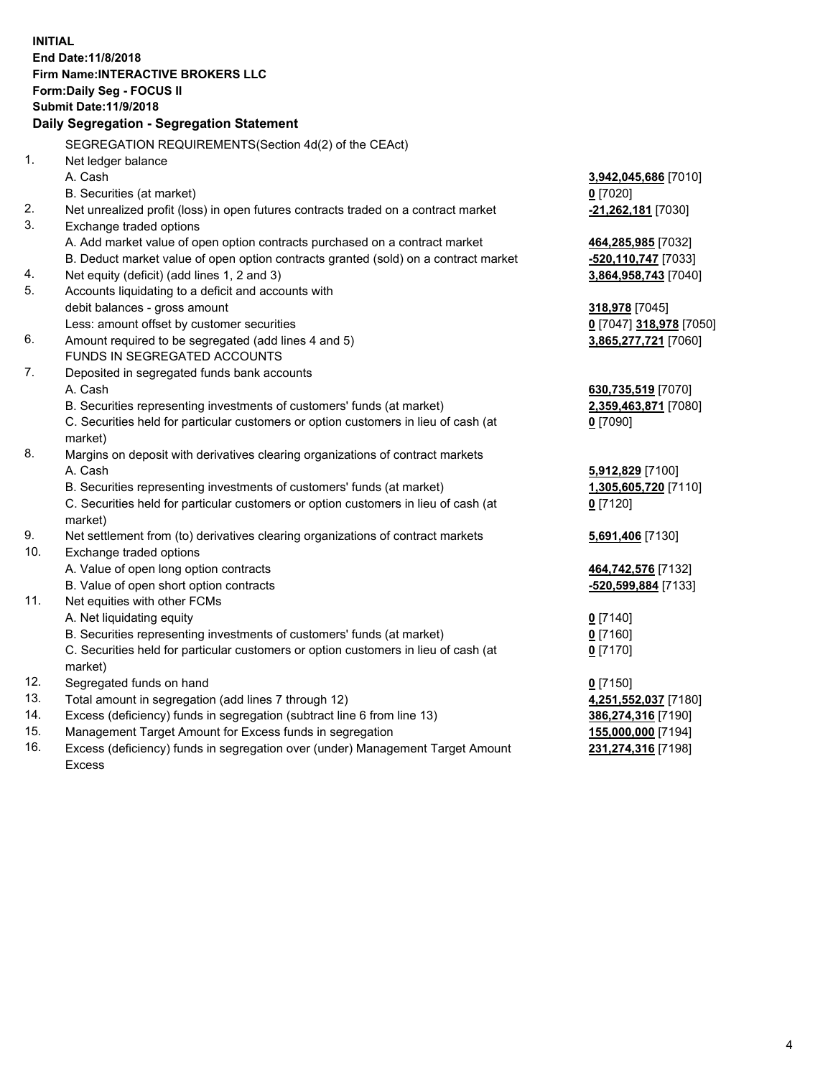**INITIAL End Date:11/8/2018 Firm Name:INTERACTIVE BROKERS LLC Form:Daily Seg - FOCUS II Submit Date:11/9/2018 Daily Segregation - Segregation Statement** SEGREGATION REQUIREMENTS(Section 4d(2) of the CEAct) 1. Net ledger balance A. Cash **3,942,045,686** [7010] B. Securities (at market) **0** [7020] 2. Net unrealized profit (loss) in open futures contracts traded on a contract market **-21,262,181** [7030] 3. Exchange traded options A. Add market value of open option contracts purchased on a contract market **464,285,985** [7032] B. Deduct market value of open option contracts granted (sold) on a contract market **-520,110,747** [7033] 4. Net equity (deficit) (add lines 1, 2 and 3) **3,864,958,743** [7040] 5. Accounts liquidating to a deficit and accounts with debit balances - gross amount **318,978** [7045] Less: amount offset by customer securities **0** [7047] **318,978** [7050] 6. Amount required to be segregated (add lines 4 and 5) **3,865,277,721** [7060] FUNDS IN SEGREGATED ACCOUNTS 7. Deposited in segregated funds bank accounts A. Cash **630,735,519** [7070] B. Securities representing investments of customers' funds (at market) **2,359,463,871** [7080] C. Securities held for particular customers or option customers in lieu of cash (at market) **0** [7090] 8. Margins on deposit with derivatives clearing organizations of contract markets A. Cash **5,912,829** [7100] B. Securities representing investments of customers' funds (at market) **1,305,605,720** [7110] C. Securities held for particular customers or option customers in lieu of cash (at market) **0** [7120] 9. Net settlement from (to) derivatives clearing organizations of contract markets **5,691,406** [7130] 10. Exchange traded options A. Value of open long option contracts **464,742,576** [7132] B. Value of open short option contracts **-520,599,884** [7133] 11. Net equities with other FCMs A. Net liquidating equity **0** [7140] B. Securities representing investments of customers' funds (at market) **0** [7160] C. Securities held for particular customers or option customers in lieu of cash (at market) **0** [7170] 12. Segregated funds on hand **0** [7150] 13. Total amount in segregation (add lines 7 through 12) **4,251,552,037** [7180] 14. Excess (deficiency) funds in segregation (subtract line 6 from line 13) **386,274,316** [7190] 15. Management Target Amount for Excess funds in segregation **155,000,000** [7194]

16. Excess (deficiency) funds in segregation over (under) Management Target Amount Excess

**231,274,316** [7198]